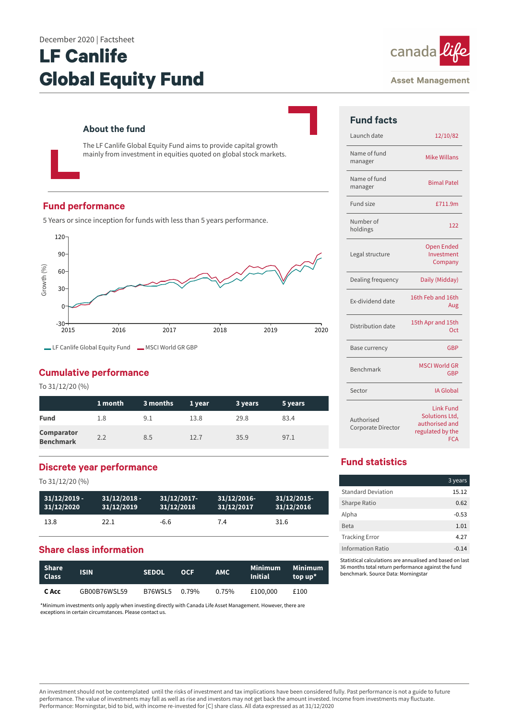#### December 2020 | Factsheet

# **LF Canlife Global Equity Fund**



#### **Asset Management**

## **About the fund**

The LF Canlife Global Equity Fund aims to provide capital growth mainly from investment in equities quoted on global stock markets.

## **Fund performance**

5 Years or since inception for funds with less than 5 years performance.



## **Cumulative performance**

To 31/12/20 (%)

|                                       | 1 month | 3 months | 1 year | 3 years | 5 years |
|---------------------------------------|---------|----------|--------|---------|---------|
| <b>Fund</b>                           | 1.8     | 9.1      | 13.8   | 29.8    | 83.4    |
| <b>Comparator</b><br><b>Benchmark</b> | 2.2     | 8.5      | 12.7   | 35.9    | 97.1    |

## **Discrete year performance**

To 31/12/20 (%)

| $31/12/2019 -$ | $31/12/2018$ - | $31/12/2017$ - | 31/12/2016 | 31/12/2015 |
|----------------|----------------|----------------|------------|------------|
| 31/12/2020     | 31/12/2019     | 31/12/2018     | 31/12/2017 | 31/12/2016 |
| 13.8           | 22.1           | -6.6           | 7.4        | 31.6       |

## **Share class information**

| Share<br><b>Class</b> | <b>ISIN</b>  | <b>SEDOL</b>  | <b>OCF</b> | AMC.  | Minimum<br><b>Initial</b> | Minimum<br>top up* |
|-----------------------|--------------|---------------|------------|-------|---------------------------|--------------------|
| C Acc                 | GB00B76WSL59 | B76WSL5 0.79% |            | 0.75% | £100,000                  | £100               |

\*Minimum investments only apply when investing directly with Canada Life Asset Management. However, there are exceptions in certain circumstances. Please contact us.

| <b>Fund facts</b>                |                                                                                        |
|----------------------------------|----------------------------------------------------------------------------------------|
| Launch date                      | 12/10/82                                                                               |
| Name of fund<br>manager          | <b>Mike Willans</b>                                                                    |
| Name of fund<br>manager          | <b>Bimal Patel</b>                                                                     |
| Fund size                        | £711.9m                                                                                |
| Number of<br>holdings            | 122                                                                                    |
| Legal structure                  | <b>Open Ended</b><br>Investment<br>Company                                             |
| Dealing frequency                | Daily (Midday)                                                                         |
| Ex-dividend date                 | 16th Feb and 16th<br>Aug                                                               |
| Distribution date                | 15th Apr and 15th<br><b>Oct</b>                                                        |
| Base currency                    | GBP                                                                                    |
| Benchmark                        | <b>MSCI World GR</b><br>GBP                                                            |
| Sector                           | <b>IA Global</b>                                                                       |
| Authorised<br>Corporate Director | <b>Link Fund</b><br>Solutions Ltd,<br>authorised and<br>regulated by the<br><b>FCA</b> |

## **Fund statistics**

|                           | 3 years |
|---------------------------|---------|
| <b>Standard Deviation</b> | 15.12   |
| Sharpe Ratio              | 0.62    |
| Alpha                     | $-0.53$ |
| Beta                      | 1.01    |
| <b>Tracking Error</b>     | 4.27    |
| <b>Information Ratio</b>  | $-0.14$ |

Statistical calculations are annualised and based on last 36 months total return performance against the fund benchmark. Source Data: Morningstar